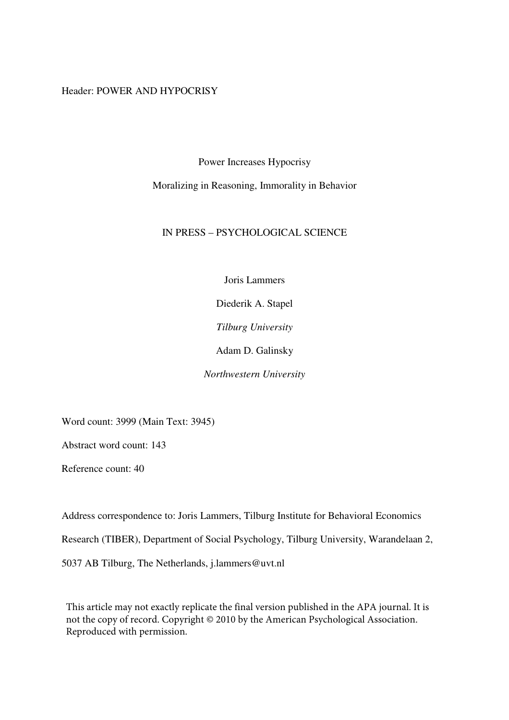## Header: POWER AND HYPOCRISY

Power Increases Hypocrisy

Moralizing in Reasoning, Immorality in Behavior

## IN PRESS – PSYCHOLOGICAL SCIENCE

Joris Lammers

Diederik A. Stapel

*Tilburg University* 

Adam D. Galinsky

*Northwestern University* 

Word count: 3999 (Main Text: 3945)

Abstract word count: 143

Reference count: 40

Address correspondence to: Joris Lammers, Tilburg Institute for Behavioral Economics Research (TIBER), Department of Social Psychology, Tilburg University, Warandelaan 2, 5037 AB Tilburg, The Netherlands, j.lammers@uvt.nl

This article may not exactly replicate the final version published in the APA journal. It is not the copy of record. Copyright © 2010 by the American Psychological Association. Reproduced with permission.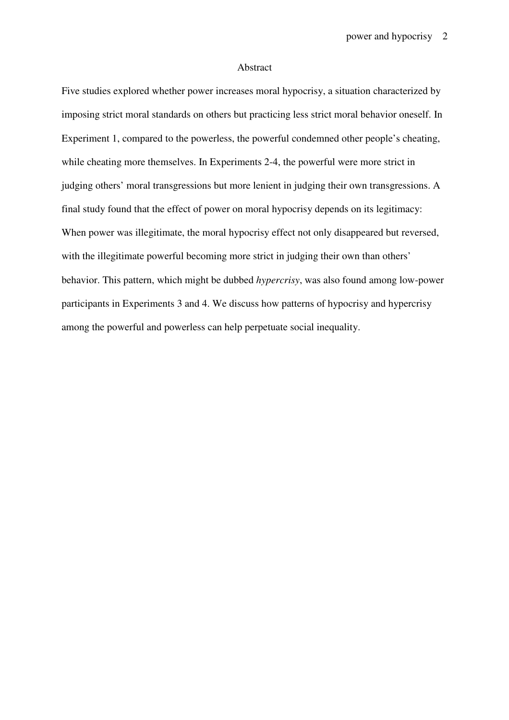#### Abstract

Five studies explored whether power increases moral hypocrisy, a situation characterized by imposing strict moral standards on others but practicing less strict moral behavior oneself. In Experiment 1, compared to the powerless, the powerful condemned other people's cheating, while cheating more themselves. In Experiments 2-4, the powerful were more strict in judging others' moral transgressions but more lenient in judging their own transgressions. A final study found that the effect of power on moral hypocrisy depends on its legitimacy: When power was illegitimate, the moral hypocrisy effect not only disappeared but reversed, with the illegitimate powerful becoming more strict in judging their own than others' behavior. This pattern, which might be dubbed *hypercrisy*, was also found among low-power participants in Experiments 3 and 4. We discuss how patterns of hypocrisy and hypercrisy among the powerful and powerless can help perpetuate social inequality.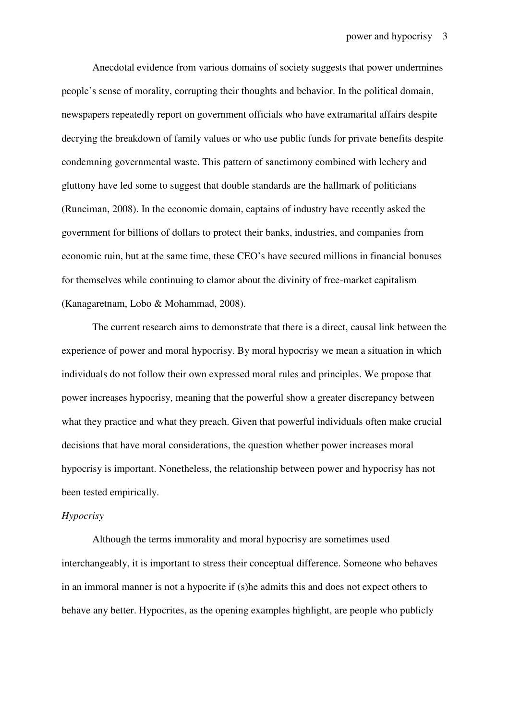Anecdotal evidence from various domains of society suggests that power undermines people's sense of morality, corrupting their thoughts and behavior. In the political domain, newspapers repeatedly report on government officials who have extramarital affairs despite decrying the breakdown of family values or who use public funds for private benefits despite condemning governmental waste. This pattern of sanctimony combined with lechery and gluttony have led some to suggest that double standards are the hallmark of politicians (Runciman, 2008). In the economic domain, captains of industry have recently asked the government for billions of dollars to protect their banks, industries, and companies from economic ruin, but at the same time, these CEO's have secured millions in financial bonuses for themselves while continuing to clamor about the divinity of free-market capitalism (Kanagaretnam, Lobo & Mohammad, 2008).

The current research aims to demonstrate that there is a direct, causal link between the experience of power and moral hypocrisy. By moral hypocrisy we mean a situation in which individuals do not follow their own expressed moral rules and principles. We propose that power increases hypocrisy, meaning that the powerful show a greater discrepancy between what they practice and what they preach. Given that powerful individuals often make crucial decisions that have moral considerations, the question whether power increases moral hypocrisy is important. Nonetheless, the relationship between power and hypocrisy has not been tested empirically.

#### *Hypocrisy*

Although the terms immorality and moral hypocrisy are sometimes used interchangeably, it is important to stress their conceptual difference. Someone who behaves in an immoral manner is not a hypocrite if (s)he admits this and does not expect others to behave any better. Hypocrites, as the opening examples highlight, are people who publicly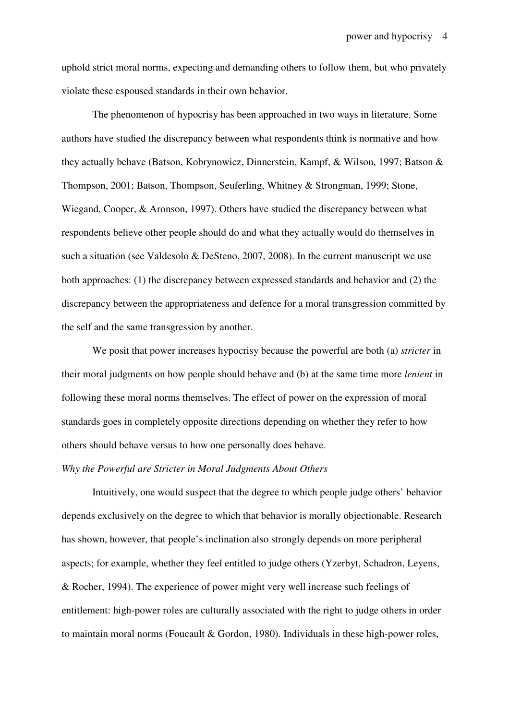uphold strict moral norms, expecting and demanding others to follow them, but who privately violate these espoused standards in their own behavior.

The phenomenon of hypocrisy has been approached in two ways in literature. Some authors have studied the discrepancy between what respondents think is normative and how they actually behave (Batson, Kobrynowicz, Dinnerstein, Kampf, & Wilson, 1997; Batson & Thompson, 2001; Batson, Thompson, Seuferling, Whitney & Strongman, 1999; Stone, Wiegand, Cooper, & Aronson, 1997). Others have studied the discrepancy between what respondents believe other people should do and what they actually would do themselves in such a situation (see Valdesolo & DeSteno, 2007, 2008). In the current manuscript we use both approaches: (1) the discrepancy between expressed standards and behavior and (2) the discrepancy between the appropriateness and defence for a moral transgression committed by the self and the same transgression by another.

We posit that power increases hypocrisy because the powerful are both (a) *stricter* in their moral judgments on how people should behave and (b) at the same time more *lenient* in following these moral norms themselves. The effect of power on the expression of moral standards goes in completely opposite directions depending on whether they refer to how others should behave versus to how one personally does behave.

#### *Why the Powerful are Stricter in Moral Judgments About Others*

Intuitively, one would suspect that the degree to which people judge others' behavior depends exclusively on the degree to which that behavior is morally objectionable. Research has shown, however, that people's inclination also strongly depends on more peripheral aspects; for example, whether they feel entitled to judge others (Yzerbyt, Schadron, Leyens, & Rocher, 1994). The experience of power might very well increase such feelings of entitlement: high-power roles are culturally associated with the right to judge others in order to maintain moral norms (Foucault & Gordon, 1980). Individuals in these high-power roles,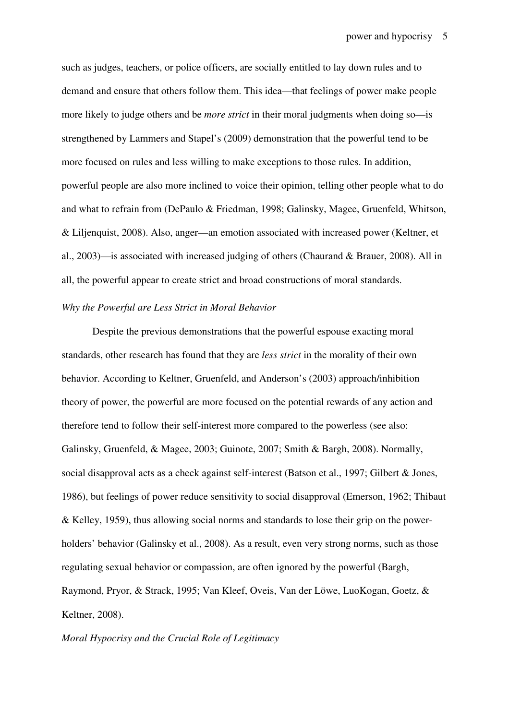such as judges, teachers, or police officers, are socially entitled to lay down rules and to demand and ensure that others follow them. This idea—that feelings of power make people more likely to judge others and be *more strict* in their moral judgments when doing so—is strengthened by Lammers and Stapel's (2009) demonstration that the powerful tend to be more focused on rules and less willing to make exceptions to those rules. In addition, powerful people are also more inclined to voice their opinion, telling other people what to do and what to refrain from (DePaulo & Friedman, 1998; Galinsky, Magee, Gruenfeld, Whitson, & Liljenquist, 2008). Also, anger—an emotion associated with increased power (Keltner, et al., 2003)—is associated with increased judging of others (Chaurand & Brauer, 2008). All in all, the powerful appear to create strict and broad constructions of moral standards.

## *Why the Powerful are Less Strict in Moral Behavior*

Despite the previous demonstrations that the powerful espouse exacting moral standards, other research has found that they are *less strict* in the morality of their own behavior. According to Keltner, Gruenfeld, and Anderson's (2003) approach/inhibition theory of power, the powerful are more focused on the potential rewards of any action and therefore tend to follow their self-interest more compared to the powerless (see also: Galinsky, Gruenfeld, & Magee, 2003; Guinote, 2007; Smith & Bargh, 2008). Normally, social disapproval acts as a check against self-interest (Batson et al., 1997; Gilbert & Jones, 1986), but feelings of power reduce sensitivity to social disapproval (Emerson, 1962; Thibaut & Kelley, 1959), thus allowing social norms and standards to lose their grip on the powerholders' behavior (Galinsky et al., 2008). As a result, even very strong norms, such as those regulating sexual behavior or compassion, are often ignored by the powerful (Bargh, Raymond, Pryor, & Strack, 1995; Van Kleef, Oveis, Van der Löwe, LuoKogan, Goetz, & Keltner, 2008).

## *Moral Hypocrisy and the Crucial Role of Legitimacy*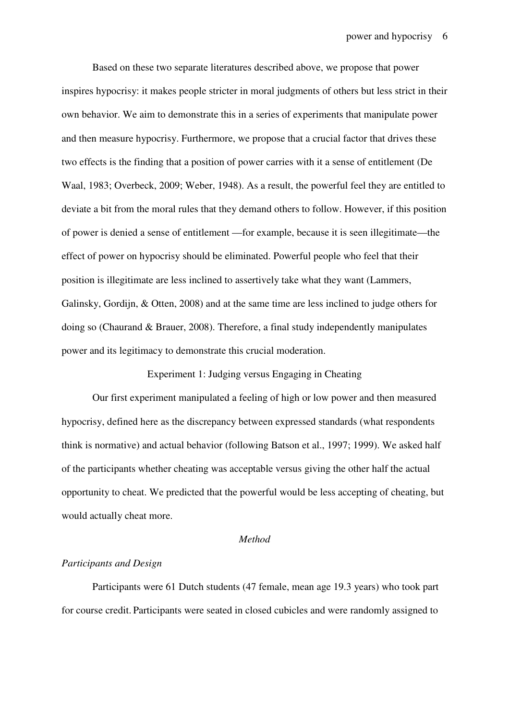Based on these two separate literatures described above, we propose that power inspires hypocrisy: it makes people stricter in moral judgments of others but less strict in their own behavior. We aim to demonstrate this in a series of experiments that manipulate power and then measure hypocrisy. Furthermore, we propose that a crucial factor that drives these two effects is the finding that a position of power carries with it a sense of entitlement (De Waal, 1983; Overbeck, 2009; Weber, 1948). As a result, the powerful feel they are entitled to deviate a bit from the moral rules that they demand others to follow. However, if this position of power is denied a sense of entitlement —for example, because it is seen illegitimate—the effect of power on hypocrisy should be eliminated. Powerful people who feel that their position is illegitimate are less inclined to assertively take what they want (Lammers, Galinsky, Gordijn, & Otten, 2008) and at the same time are less inclined to judge others for doing so (Chaurand & Brauer, 2008). Therefore, a final study independently manipulates power and its legitimacy to demonstrate this crucial moderation.

Experiment 1: Judging versus Engaging in Cheating

Our first experiment manipulated a feeling of high or low power and then measured hypocrisy, defined here as the discrepancy between expressed standards (what respondents think is normative) and actual behavior (following Batson et al., 1997; 1999). We asked half of the participants whether cheating was acceptable versus giving the other half the actual opportunity to cheat. We predicted that the powerful would be less accepting of cheating, but would actually cheat more.

## *Method*

## *Participants and Design*

Participants were 61 Dutch students (47 female, mean age 19.3 years) who took part for course credit. Participants were seated in closed cubicles and were randomly assigned to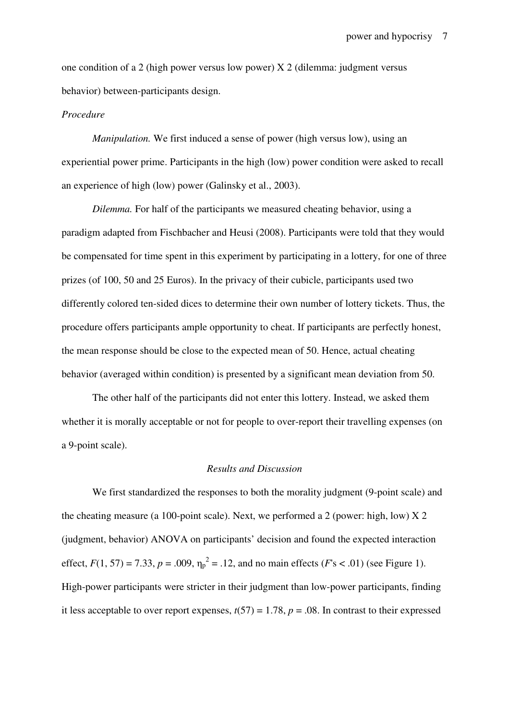one condition of a 2 (high power versus low power)  $X$  2 (dilemma: judgment versus behavior) between-participants design.

#### *Procedure*

*Manipulation.* We first induced a sense of power (high versus low), using an experiential power prime. Participants in the high (low) power condition were asked to recall an experience of high (low) power (Galinsky et al., 2003).

*Dilemma.* For half of the participants we measured cheating behavior, using a paradigm adapted from Fischbacher and Heusi (2008). Participants were told that they would be compensated for time spent in this experiment by participating in a lottery, for one of three prizes (of 100, 50 and 25 Euros). In the privacy of their cubicle, participants used two differently colored ten-sided dices to determine their own number of lottery tickets. Thus, the procedure offers participants ample opportunity to cheat. If participants are perfectly honest, the mean response should be close to the expected mean of 50. Hence, actual cheating behavior (averaged within condition) is presented by a significant mean deviation from 50.

The other half of the participants did not enter this lottery. Instead, we asked them whether it is morally acceptable or not for people to over-report their travelling expenses (on a 9-point scale).

#### *Results and Discussion*

We first standardized the responses to both the morality judgment (9-point scale) and the cheating measure (a 100-point scale). Next, we performed a 2 (power: high, low)  $X$  2 (judgment, behavior) ANOVA on participants' decision and found the expected interaction effect,  $F(1, 57) = 7.33$ ,  $p = .009$ ,  $\eta_p^2 = .12$ , and no main effects ( $F_s < .01$ ) (see Figure 1). High-power participants were stricter in their judgment than low-power participants, finding it less acceptable to over report expenses,  $t(57) = 1.78$ ,  $p = .08$ . In contrast to their expressed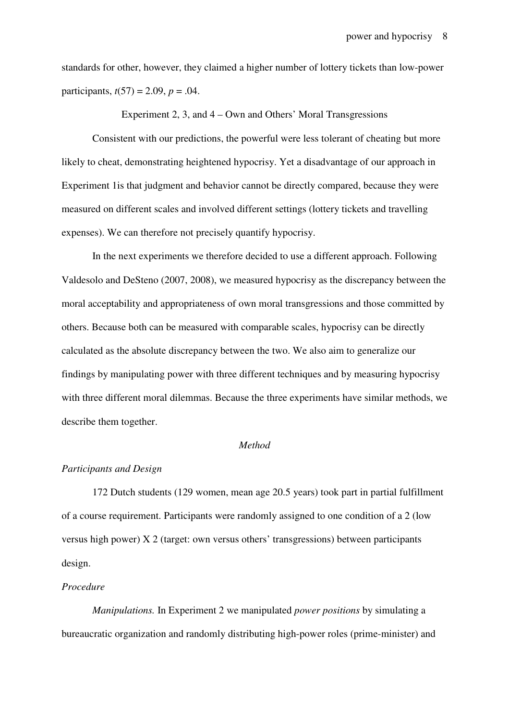standards for other, however, they claimed a higher number of lottery tickets than low-power participants,  $t(57) = 2.09$ ,  $p = .04$ .

Experiment 2, 3, and 4 – Own and Others' Moral Transgressions

Consistent with our predictions, the powerful were less tolerant of cheating but more likely to cheat, demonstrating heightened hypocrisy. Yet a disadvantage of our approach in Experiment 1is that judgment and behavior cannot be directly compared, because they were measured on different scales and involved different settings (lottery tickets and travelling expenses). We can therefore not precisely quantify hypocrisy.

In the next experiments we therefore decided to use a different approach. Following Valdesolo and DeSteno (2007, 2008), we measured hypocrisy as the discrepancy between the moral acceptability and appropriateness of own moral transgressions and those committed by others. Because both can be measured with comparable scales, hypocrisy can be directly calculated as the absolute discrepancy between the two. We also aim to generalize our findings by manipulating power with three different techniques and by measuring hypocrisy with three different moral dilemmas. Because the three experiments have similar methods, we describe them together.

## *Method*

#### *Participants and Design*

172 Dutch students (129 women, mean age 20.5 years) took part in partial fulfillment of a course requirement. Participants were randomly assigned to one condition of a 2 (low versus high power) X 2 (target: own versus others' transgressions) between participants design.

## *Procedure*

*Manipulations.* In Experiment 2 we manipulated *power positions* by simulating a bureaucratic organization and randomly distributing high-power roles (prime-minister) and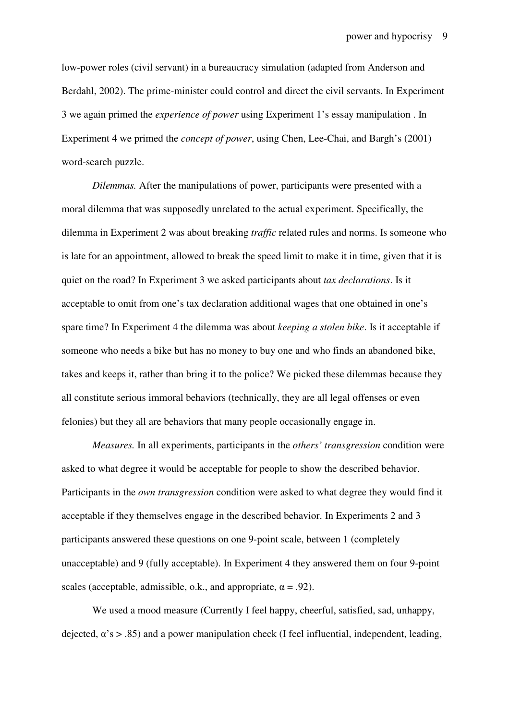low-power roles (civil servant) in a bureaucracy simulation (adapted from Anderson and Berdahl, 2002). The prime-minister could control and direct the civil servants. In Experiment 3 we again primed the *experience of power* using Experiment 1's essay manipulation . In Experiment 4 we primed the *concept of power*, using Chen, Lee-Chai, and Bargh's (2001) word-search puzzle.

*Dilemmas.* After the manipulations of power, participants were presented with a moral dilemma that was supposedly unrelated to the actual experiment. Specifically, the dilemma in Experiment 2 was about breaking *traffic* related rules and norms. Is someone who is late for an appointment, allowed to break the speed limit to make it in time, given that it is quiet on the road? In Experiment 3 we asked participants about *tax declarations*. Is it acceptable to omit from one's tax declaration additional wages that one obtained in one's spare time? In Experiment 4 the dilemma was about *keeping a stolen bike*. Is it acceptable if someone who needs a bike but has no money to buy one and who finds an abandoned bike, takes and keeps it, rather than bring it to the police? We picked these dilemmas because they all constitute serious immoral behaviors (technically, they are all legal offenses or even felonies) but they all are behaviors that many people occasionally engage in.

*Measures.* In all experiments, participants in the *others' transgression* condition were asked to what degree it would be acceptable for people to show the described behavior. Participants in the *own transgression* condition were asked to what degree they would find it acceptable if they themselves engage in the described behavior. In Experiments 2 and 3 participants answered these questions on one 9-point scale, between 1 (completely unacceptable) and 9 (fully acceptable). In Experiment 4 they answered them on four 9-point scales (acceptable, admissible, o.k., and appropriate,  $\alpha = .92$ ).

We used a mood measure (Currently I feel happy, cheerful, satisfied, sad, unhappy, dejected,  $\alpha$ 's  $> .85$ ) and a power manipulation check (I feel influential, independent, leading,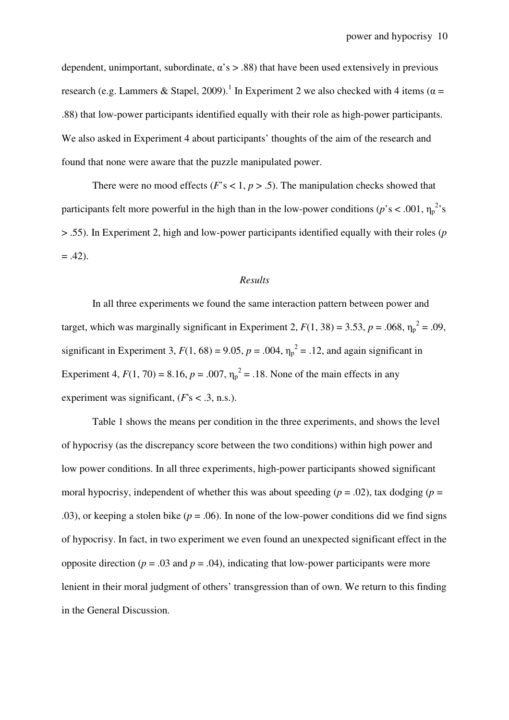dependent, unimportant, subordinate,  $\alpha$ 's  $> 0.88$ ) that have been used extensively in previous research (e.g. Lammers & Stapel, 2009).<sup>1</sup> In Experiment 2 we also checked with 4 items ( $\alpha$  = .88) that low-power participants identified equally with their role as high-power participants. We also asked in Experiment 4 about participants' thoughts of the aim of the research and found that none were aware that the puzzle manipulated power.

There were no mood effects ( $F$ 's < 1,  $p > .5$ ). The manipulation checks showed that participants felt more powerful in the high than in the low-power conditions ( $p$ 's < .001,  $\eta_p^2$ 's > .55). In Experiment 2, high and low-power participants identified equally with their roles (*p*  $= .42$ ).

#### *Results*

In all three experiments we found the same interaction pattern between power and target, which was marginally significant in Experiment 2,  $F(1, 38) = 3.53$ ,  $p = .068$ ,  $\eta_p^2 = .09$ , significant in Experiment 3,  $F(1, 68) = 9.05$ ,  $p = .004$ ,  $\eta_p^2 = .12$ , and again significant in Experiment 4,  $F(1, 70) = 8.16$ ,  $p = .007$ ,  $\eta_p^2 = .18$ . None of the main effects in any experiment was significant,  $(F<sub>s</sub> < .3, n.s.).$ 

Table 1 shows the means per condition in the three experiments, and shows the level of hypocrisy (as the discrepancy score between the two conditions) within high power and low power conditions. In all three experiments, high-power participants showed significant moral hypocrisy, independent of whether this was about speeding ( $p = .02$ ), tax dodging ( $p =$ .03), or keeping a stolen bike  $(p = .06)$ . In none of the low-power conditions did we find signs of hypocrisy. In fact, in two experiment we even found an unexpected significant effect in the opposite direction ( $p = .03$  and  $p = .04$ ), indicating that low-power participants were more lenient in their moral judgment of others' transgression than of own. We return to this finding in the General Discussion.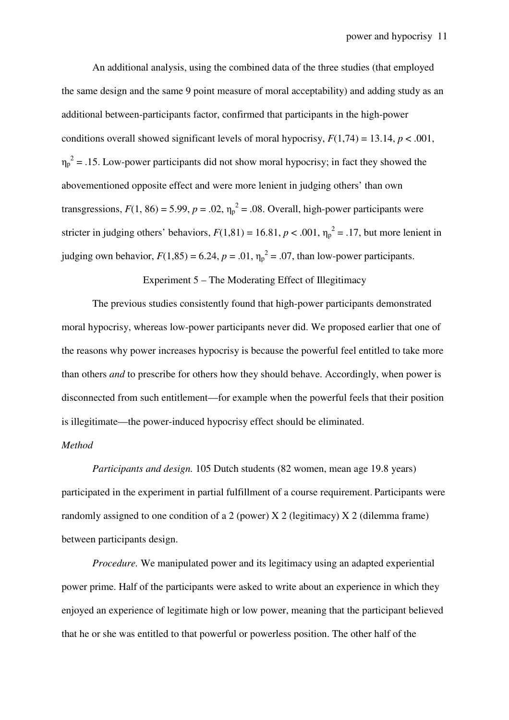An additional analysis, using the combined data of the three studies (that employed the same design and the same 9 point measure of moral acceptability) and adding study as an additional between-participants factor, confirmed that participants in the high-power conditions overall showed significant levels of moral hypocrisy,  $F(1,74) = 13.14$ ,  $p < .001$ ,  $\eta_p^2$  = .15. Low-power participants did not show moral hypocrisy; in fact they showed the abovementioned opposite effect and were more lenient in judging others' than own transgressions,  $F(1, 86) = 5.99$ ,  $p = .02$ ,  $\eta_p^2 = .08$ . Overall, high-power participants were stricter in judging others' behaviors,  $F(1,81) = 16.81$ ,  $p < .001$ ,  $\eta_p^2 = .17$ , but more lenient in judging own behavior,  $F(1,85) = 6.24$ ,  $p = .01$ ,  $\eta_p^2 = .07$ , than low-power participants.

Experiment 5 – The Moderating Effect of Illegitimacy

The previous studies consistently found that high-power participants demonstrated moral hypocrisy, whereas low-power participants never did. We proposed earlier that one of the reasons why power increases hypocrisy is because the powerful feel entitled to take more than others *and* to prescribe for others how they should behave. Accordingly, when power is disconnected from such entitlement—for example when the powerful feels that their position is illegitimate—the power-induced hypocrisy effect should be eliminated.

## *Method*

*Participants and design.* 105 Dutch students (82 women, mean age 19.8 years) participated in the experiment in partial fulfillment of a course requirement. Participants were randomly assigned to one condition of a 2 (power)  $X$  2 (legitimacy)  $X$  2 (dilemma frame) between participants design.

*Procedure.* We manipulated power and its legitimacy using an adapted experiential power prime. Half of the participants were asked to write about an experience in which they enjoyed an experience of legitimate high or low power, meaning that the participant believed that he or she was entitled to that powerful or powerless position. The other half of the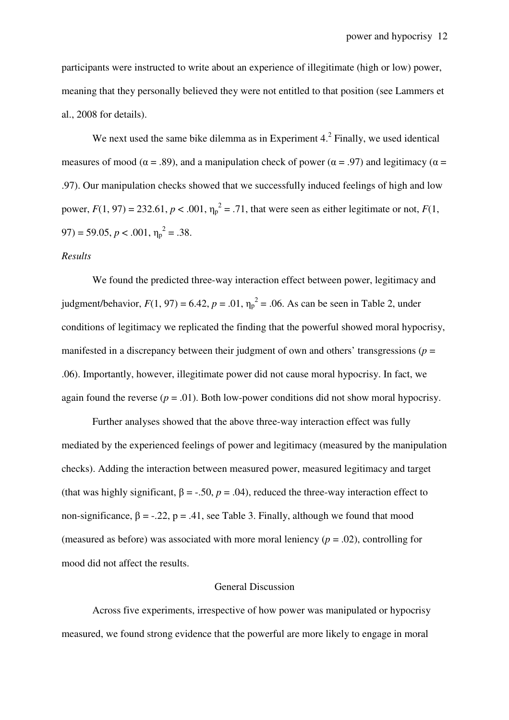participants were instructed to write about an experience of illegitimate (high or low) power, meaning that they personally believed they were not entitled to that position (see Lammers et al., 2008 for details).

We next used the same bike dilemma as in Experiment  $4.<sup>2</sup>$  Finally, we used identical measures of mood ( $\alpha = .89$ ), and a manipulation check of power ( $\alpha = .97$ ) and legitimacy ( $\alpha =$ .97). Our manipulation checks showed that we successfully induced feelings of high and low power,  $F(1, 97) = 232.61$ ,  $p < .001$ ,  $\eta_p^2 = .71$ , that were seen as either legitimate or not,  $F(1, 97)$  $(97) = 59.05, p < .001, \eta_p^2 = .38.$ 

#### *Results*

We found the predicted three-way interaction effect between power, legitimacy and judgment/behavior,  $F(1, 97) = 6.42$ ,  $p = .01$ ,  $\eta_p^2 = .06$ . As can be seen in Table 2, under conditions of legitimacy we replicated the finding that the powerful showed moral hypocrisy, manifested in a discrepancy between their judgment of own and others' transgressions ( $p =$ .06). Importantly, however, illegitimate power did not cause moral hypocrisy. In fact, we again found the reverse  $(p = .01)$ . Both low-power conditions did not show moral hypocrisy.

 Further analyses showed that the above three-way interaction effect was fully mediated by the experienced feelings of power and legitimacy (measured by the manipulation checks). Adding the interaction between measured power, measured legitimacy and target (that was highly significant,  $\beta = -0.50$ ,  $p = 0.04$ ), reduced the three-way interaction effect to non-significance,  $\beta = -0.22$ ,  $p = 0.41$ , see Table 3. Finally, although we found that mood (measured as before) was associated with more moral leniency  $(p = .02)$ , controlling for mood did not affect the results.

## General Discussion

Across five experiments, irrespective of how power was manipulated or hypocrisy measured, we found strong evidence that the powerful are more likely to engage in moral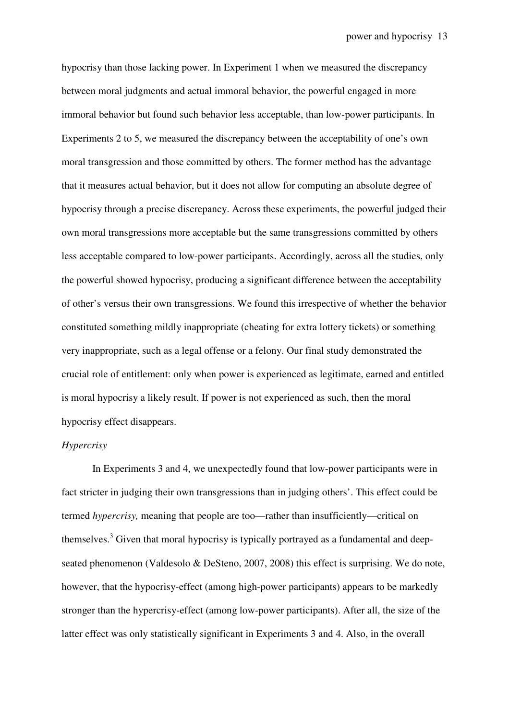hypocrisy than those lacking power. In Experiment 1 when we measured the discrepancy between moral judgments and actual immoral behavior, the powerful engaged in more immoral behavior but found such behavior less acceptable, than low-power participants. In Experiments 2 to 5, we measured the discrepancy between the acceptability of one's own moral transgression and those committed by others. The former method has the advantage that it measures actual behavior, but it does not allow for computing an absolute degree of hypocrisy through a precise discrepancy. Across these experiments, the powerful judged their own moral transgressions more acceptable but the same transgressions committed by others less acceptable compared to low-power participants. Accordingly, across all the studies, only the powerful showed hypocrisy, producing a significant difference between the acceptability of other's versus their own transgressions. We found this irrespective of whether the behavior constituted something mildly inappropriate (cheating for extra lottery tickets) or something very inappropriate, such as a legal offense or a felony. Our final study demonstrated the crucial role of entitlement: only when power is experienced as legitimate, earned and entitled is moral hypocrisy a likely result. If power is not experienced as such, then the moral hypocrisy effect disappears.

#### *Hypercrisy*

In Experiments 3 and 4, we unexpectedly found that low-power participants were in fact stricter in judging their own transgressions than in judging others'. This effect could be termed *hypercrisy,* meaning that people are too—rather than insufficiently—critical on themselves.<sup>3</sup> Given that moral hypocrisy is typically portrayed as a fundamental and deepseated phenomenon (Valdesolo & DeSteno, 2007, 2008) this effect is surprising. We do note, however, that the hypocrisy-effect (among high-power participants) appears to be markedly stronger than the hypercrisy-effect (among low-power participants). After all, the size of the latter effect was only statistically significant in Experiments 3 and 4. Also, in the overall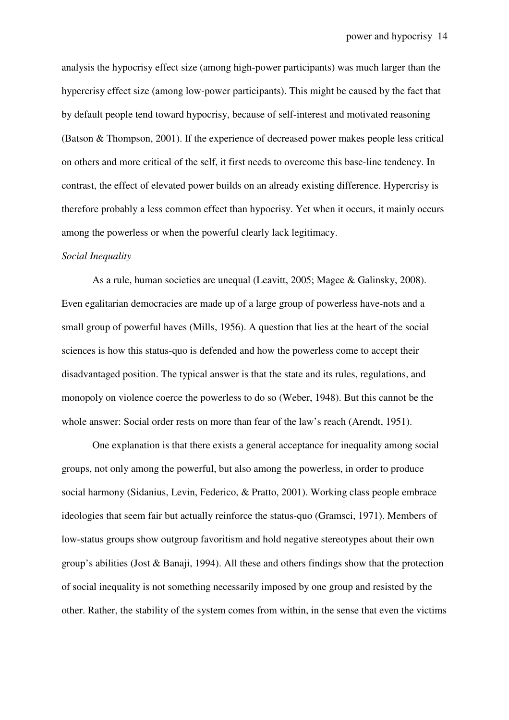analysis the hypocrisy effect size (among high-power participants) was much larger than the hypercrisy effect size (among low-power participants). This might be caused by the fact that by default people tend toward hypocrisy, because of self-interest and motivated reasoning (Batson & Thompson, 2001). If the experience of decreased power makes people less critical on others and more critical of the self, it first needs to overcome this base-line tendency. In contrast, the effect of elevated power builds on an already existing difference. Hypercrisy is therefore probably a less common effect than hypocrisy. Yet when it occurs, it mainly occurs among the powerless or when the powerful clearly lack legitimacy.

#### *Social Inequality*

As a rule, human societies are unequal (Leavitt, 2005; Magee & Galinsky, 2008). Even egalitarian democracies are made up of a large group of powerless have-nots and a small group of powerful haves (Mills, 1956). A question that lies at the heart of the social sciences is how this status-quo is defended and how the powerless come to accept their disadvantaged position. The typical answer is that the state and its rules, regulations, and monopoly on violence coerce the powerless to do so (Weber, 1948). But this cannot be the whole answer: Social order rests on more than fear of the law's reach (Arendt, 1951).

One explanation is that there exists a general acceptance for inequality among social groups, not only among the powerful, but also among the powerless, in order to produce social harmony (Sidanius, Levin, Federico, & Pratto, 2001). Working class people embrace ideologies that seem fair but actually reinforce the status-quo (Gramsci, 1971). Members of low-status groups show outgroup favoritism and hold negative stereotypes about their own group's abilities (Jost & Banaji, 1994). All these and others findings show that the protection of social inequality is not something necessarily imposed by one group and resisted by the other. Rather, the stability of the system comes from within, in the sense that even the victims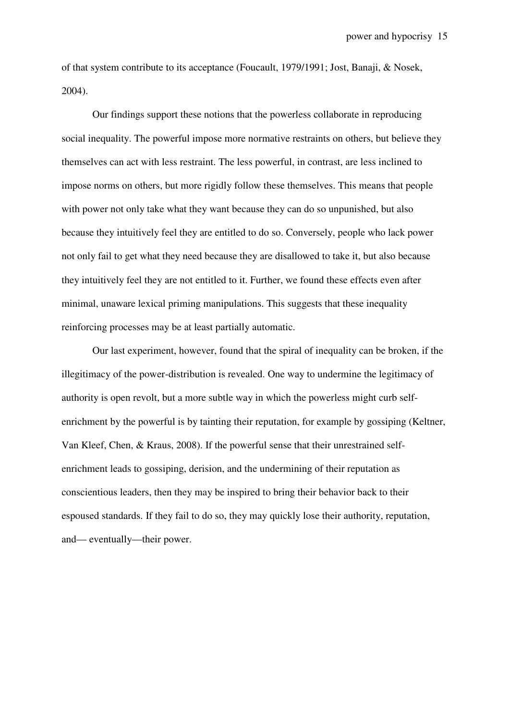of that system contribute to its acceptance (Foucault, 1979/1991; Jost, Banaji, & Nosek, 2004).

Our findings support these notions that the powerless collaborate in reproducing social inequality. The powerful impose more normative restraints on others, but believe they themselves can act with less restraint. The less powerful, in contrast, are less inclined to impose norms on others, but more rigidly follow these themselves. This means that people with power not only take what they want because they can do so unpunished, but also because they intuitively feel they are entitled to do so. Conversely, people who lack power not only fail to get what they need because they are disallowed to take it, but also because they intuitively feel they are not entitled to it. Further, we found these effects even after minimal, unaware lexical priming manipulations. This suggests that these inequality reinforcing processes may be at least partially automatic.

Our last experiment, however, found that the spiral of inequality can be broken, if the illegitimacy of the power-distribution is revealed. One way to undermine the legitimacy of authority is open revolt, but a more subtle way in which the powerless might curb selfenrichment by the powerful is by tainting their reputation, for example by gossiping (Keltner, Van Kleef, Chen, & Kraus, 2008). If the powerful sense that their unrestrained selfenrichment leads to gossiping, derision, and the undermining of their reputation as conscientious leaders, then they may be inspired to bring their behavior back to their espoused standards. If they fail to do so, they may quickly lose their authority, reputation, and— eventually—their power.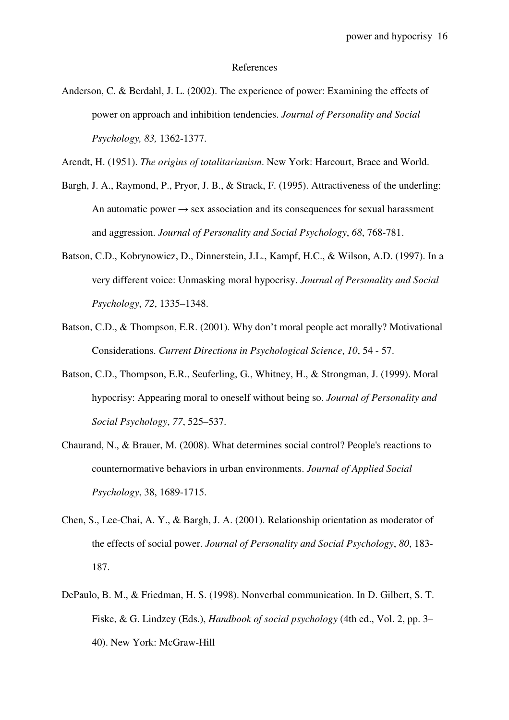#### References

- Anderson, C. & Berdahl, J. L. (2002). The experience of power: Examining the effects of power on approach and inhibition tendencies. *Journal of Personality and Social Psychology, 83,* 1362-1377.
- Arendt, H. (1951). *The origins of totalitarianism*. New York: Harcourt, Brace and World.
- Bargh, J. A., Raymond, P., Pryor, J. B., & Strack, F. (1995). Attractiveness of the underling: An automatic power  $\rightarrow$  sex association and its consequences for sexual harassment and aggression. *Journal of Personality and Social Psychology*, *68*, 768-781.
- Batson, C.D., Kobrynowicz, D., Dinnerstein, J.L., Kampf, H.C., & Wilson, A.D. (1997). In a very different voice: Unmasking moral hypocrisy. *Journal of Personality and Social Psychology*, *72*, 1335–1348.
- Batson, C.D., & Thompson, E.R. (2001). Why don't moral people act morally? Motivational Considerations. *Current Directions in Psychological Science*, *10*, 54 - 57.
- Batson, C.D., Thompson, E.R., Seuferling, G., Whitney, H., & Strongman, J. (1999). Moral hypocrisy: Appearing moral to oneself without being so. *Journal of Personality and Social Psychology*, *77*, 525–537.
- Chaurand, N., & Brauer, M. (2008). What determines social control? People's reactions to counternormative behaviors in urban environments. *Journal of Applied Social Psychology*, 38, 1689-1715.
- Chen, S., Lee-Chai, A. Y., & Bargh, J. A. (2001). Relationship orientation as moderator of the effects of social power. *Journal of Personality and Social Psychology*, *80*, 183- 187.
- DePaulo, B. M., & Friedman, H. S. (1998). Nonverbal communication. In D. Gilbert, S. T. Fiske, & G. Lindzey (Eds.), *Handbook of social psychology* (4th ed., Vol. 2, pp. 3– 40). New York: McGraw-Hill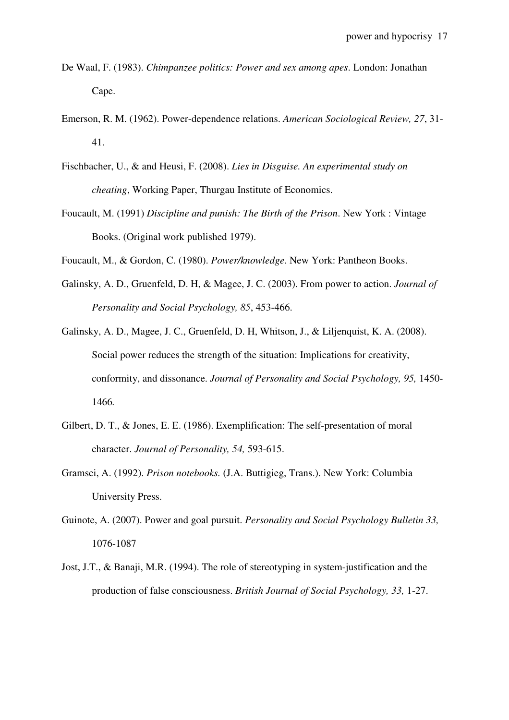- De Waal, F. (1983). *Chimpanzee politics: Power and sex among apes*. London: Jonathan Cape.
- Emerson, R. M. (1962). Power-dependence relations. *American Sociological Review, 27*, 31- 41.
- Fischbacher, U., & and Heusi, F. (2008). *Lies in Disguise. An experimental study on cheating*, Working Paper, Thurgau Institute of Economics.
- Foucault, M. (1991) *Discipline and punish: The Birth of the Prison*. New York : Vintage Books. (Original work published 1979).
- Foucault, M., & Gordon, C. (1980). *Power/knowledge*. New York: Pantheon Books.
- Galinsky, A. D., Gruenfeld, D. H, & Magee, J. C. (2003). From power to action. *Journal of Personality and Social Psychology, 85*, 453-466.
- Galinsky, A. D., Magee, J. C., Gruenfeld, D. H, Whitson, J., & Liljenquist, K. A. (2008). Social power reduces the strength of the situation: Implications for creativity, conformity, and dissonance. *Journal of Personality and Social Psychology, 95,* 1450- 1466*.*
- Gilbert, D. T., & Jones, E. E. (1986). Exemplification: The self-presentation of moral character. *Journal of Personality, 54,* 593-615.
- Gramsci, A. (1992). *Prison notebooks.* (J.A. Buttigieg, Trans.). New York: Columbia University Press.
- Guinote, A. (2007). Power and goal pursuit. *Personality and Social Psychology Bulletin 33,*  1076-1087
- Jost, J.T., & Banaji, M.R. (1994). The role of stereotyping in system-justification and the production of false consciousness. *British Journal of Social Psychology, 33,* 1-27.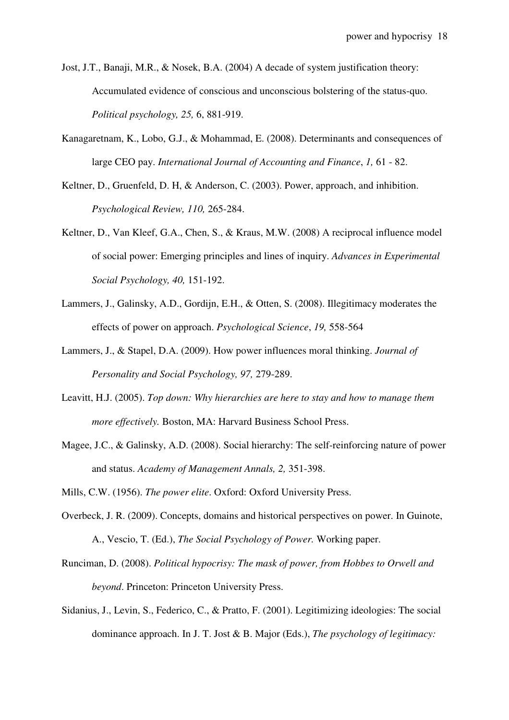Jost, J.T., Banaji, M.R., & Nosek, B.A. (2004) A decade of system justification theory: Accumulated evidence of conscious and unconscious bolstering of the status-quo. *Political psychology, 25,* 6, 881-919.

- Kanagaretnam, K., Lobo, G.J., & Mohammad, E. (2008). Determinants and consequences of large CEO pay. *International Journal of Accounting and Finance*, *1,* 61 - 82.
- Keltner, D., Gruenfeld, D. H, & Anderson, C. (2003). Power, approach, and inhibition. *Psychological Review, 110,* 265-284.
- Keltner, D., Van Kleef, G.A., Chen, S., & Kraus, M.W. (2008) A reciprocal influence model of social power: Emerging principles and lines of inquiry. *Advances in Experimental Social Psychology, 40,* 151-192.
- Lammers, J., Galinsky, A.D., Gordijn, E.H., & Otten, S. (2008). Illegitimacy moderates the effects of power on approach. *Psychological Science*, *19,* 558-564
- Lammers, J., & Stapel, D.A. (2009). How power influences moral thinking. *Journal of Personality and Social Psychology, 97,* 279-289.
- Leavitt, H.J. (2005). *Top down: Why hierarchies are here to stay and how to manage them more effectively.* Boston, MA: Harvard Business School Press.
- Magee, J.C., & Galinsky, A.D. (2008). Social hierarchy: The self-reinforcing nature of power and status. *Academy of Management Annals, 2,* 351-398.

Mills, C.W. (1956). *The power elite*. Oxford: Oxford University Press.

- Overbeck, J. R. (2009). Concepts, domains and historical perspectives on power. In Guinote, A., Vescio, T. (Ed.), *The Social Psychology of Power.* Working paper.
- Runciman, D. (2008). *Political hypocrisy: The mask of power, from Hobbes to Orwell and beyond*. Princeton: Princeton University Press.
- Sidanius, J., Levin, S., Federico, C., & Pratto, F. (2001). Legitimizing ideologies: The social dominance approach. In J. T. Jost & B. Major (Eds.), *The psychology of legitimacy:*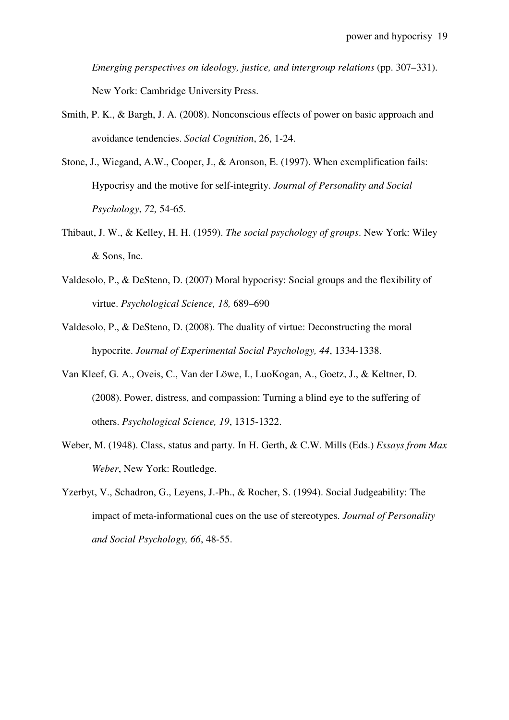*Emerging perspectives on ideology, justice, and intergroup relations* (pp. 307–331). New York: Cambridge University Press.

- Smith, P. K., & Bargh, J. A. (2008). Nonconscious effects of power on basic approach and avoidance tendencies. *Social Cognition*, 26, 1-24.
- Stone, J., Wiegand, A.W., Cooper, J., & Aronson, E. (1997). When exemplification fails: Hypocrisy and the motive for self-integrity. *Journal of Personality and Social Psychology*, *72,* 54-65.
- Thibaut, J. W., & Kelley, H. H. (1959). *The social psychology of groups*. New York: Wiley & Sons, Inc.
- Valdesolo, P., & DeSteno, D. (2007) Moral hypocrisy: Social groups and the flexibility of virtue. *Psychological Science, 18,* 689–690
- Valdesolo, P., & DeSteno, D. (2008). The duality of virtue: Deconstructing the moral hypocrite. *Journal of Experimental Social Psychology, 44*, 1334-1338.
- Van Kleef, G. A., Oveis, C., Van der Löwe, I., LuoKogan, A., Goetz, J., & Keltner, D. (2008). Power, distress, and compassion: Turning a blind eye to the suffering of others. *Psychological Science, 19*, 1315-1322.
- Weber, M. (1948). Class, status and party. In H. Gerth, & C.W. Mills (Eds.) *Essays from Max Weber*, New York: Routledge.
- Yzerbyt, V., Schadron, G., Leyens, J.-Ph., & Rocher, S. (1994). Social Judgeability: The impact of meta-informational cues on the use of stereotypes. *Journal of Personality and Social Psychology, 66*, 48-55.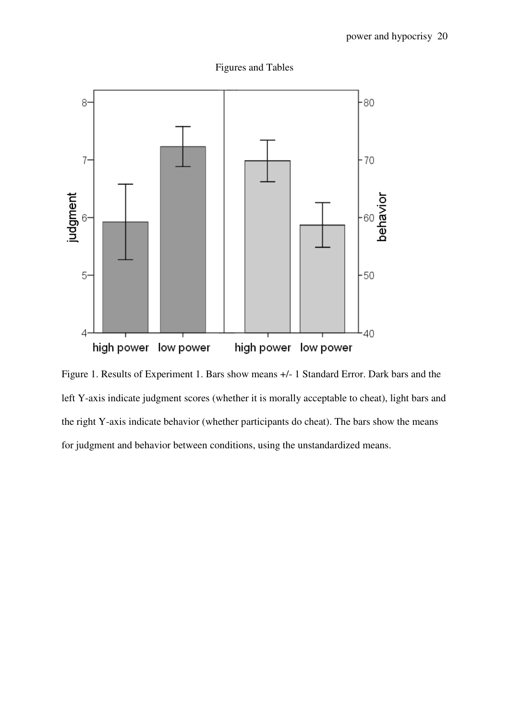



Figure 1. Results of Experiment 1. Bars show means +/- 1 Standard Error. Dark bars and the left Y-axis indicate judgment scores (whether it is morally acceptable to cheat), light bars and the right Y-axis indicate behavior (whether participants do cheat). The bars show the means for judgment and behavior between conditions, using the unstandardized means.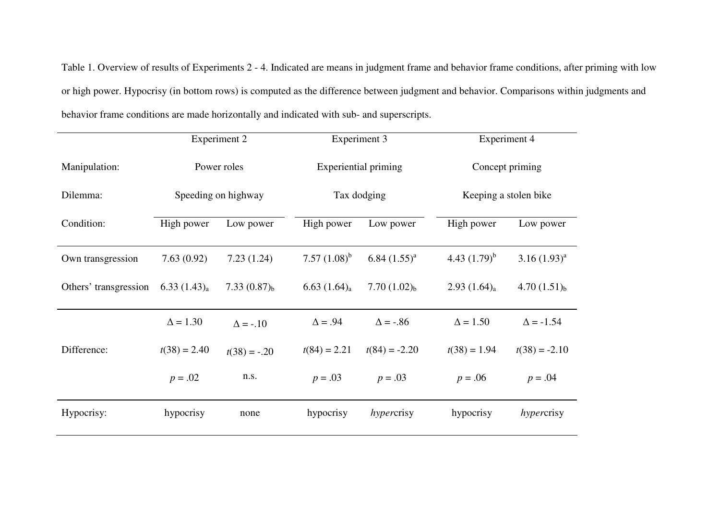Table 1. Overview of results of Experiments 2 - 4. Indicated are means in judgment frame and behavior frame conditions, after priming with low or high power. Hypocrisy (in bottom rows) is computed as the difference between judgment and behavior. Comparisons within judgments and behavior frame conditions are made horizontally and indicated with sub- and superscripts.

|                       | Experiment 2        |                   | Experiment 3        |                             | Experiment 4      |                       |  |
|-----------------------|---------------------|-------------------|---------------------|-----------------------------|-------------------|-----------------------|--|
| Manipulation:         | Power roles         |                   |                     | <b>Experiential priming</b> |                   | Concept priming       |  |
| Dilemma:              | Speeding on highway |                   |                     | Tax dodging                 |                   | Keeping a stolen bike |  |
| Condition:            | High power          | Low power         | High power          | Low power                   | High power        | Low power             |  |
| Own transgression     | 7.63(0.92)          | 7.23(1.24)        | 7.57 $(1.08)^b$     | $6.84 (1.55)^{a}$           | 4.43 $(1.79)^b$   | $3.16(1.93)^{a}$      |  |
| Others' transgression | 6.33 $(1.43)_{a}$   | 7.33 $(0.87)_{b}$ | $6.63$ $(1.64)_{a}$ | 7.70 $(1.02)_{b}$           | 2.93 $(1.64)_{a}$ | 4.70 $(1.51)_{b}$     |  |
|                       | $\Delta = 1.30$     | $\Delta$ = -.10   | $\Delta = .94$      | $\Delta = -.86$             | $\Delta = 1.50$   | $\Delta$ = -1.54      |  |
| Difference:           | $t(38) = 2.40$      | $t(38) = -.20$    | $t(84) = 2.21$      | $t(84) = -2.20$             | $t(38) = 1.94$    | $t(38) = -2.10$       |  |
|                       | $p = .02$           | n.s.              | $p = .03$           | $p = .03$                   | $p = .06$         | $p = .04$             |  |
| Hypocrisy:            | hypocrisy           | none              | hypocrisy           | hypercrisy                  | hypocrisy         | hypercrisy            |  |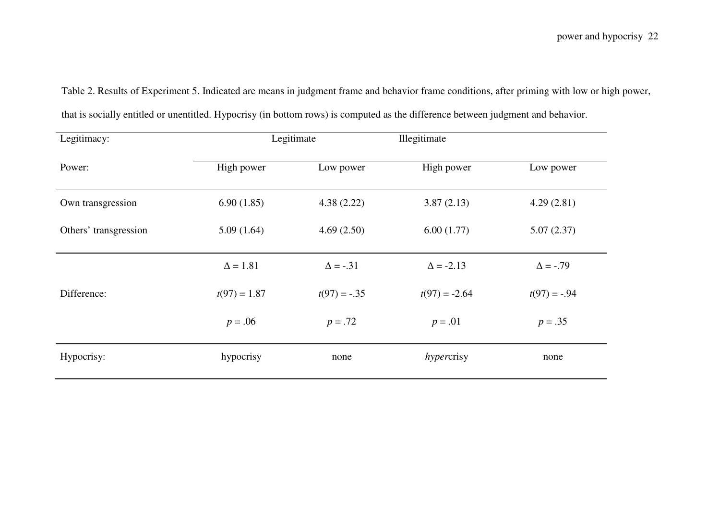| Legitimacy:           | Legitimate      |                 | Illegitimate     |                 |
|-----------------------|-----------------|-----------------|------------------|-----------------|
| Power:                | High power      | Low power       | High power       | Low power       |
| Own transgression     | 6.90(1.85)      | 4.38(2.22)      | 3.87(2.13)       | 4.29(2.81)      |
| Others' transgression | 5.09(1.64)      | 4.69(2.50)      | 6.00(1.77)       | 5.07(2.37)      |
|                       | $\Delta = 1.81$ | $\Delta$ = -.31 | $\Delta$ = -2.13 | $\Delta = -.79$ |
| Difference:           | $t(97) = 1.87$  | $t(97) = -.35$  | $t(97) = -2.64$  | $t(97) = -.94$  |
|                       | $p = .06$       | $p = .72$       | $p = .01$        | $p = .35$       |
| Hypocrisy:            | hypocrisy       | none            | hypercrisy       | none            |

that is socially entitled or unentitled. Hypocrisy (in bottom rows) is computed as the difference between judgment and behavior.

Table 2. Results of Experiment 5. Indicated are means in judgment frame and behavior frame conditions, after priming with low or high power,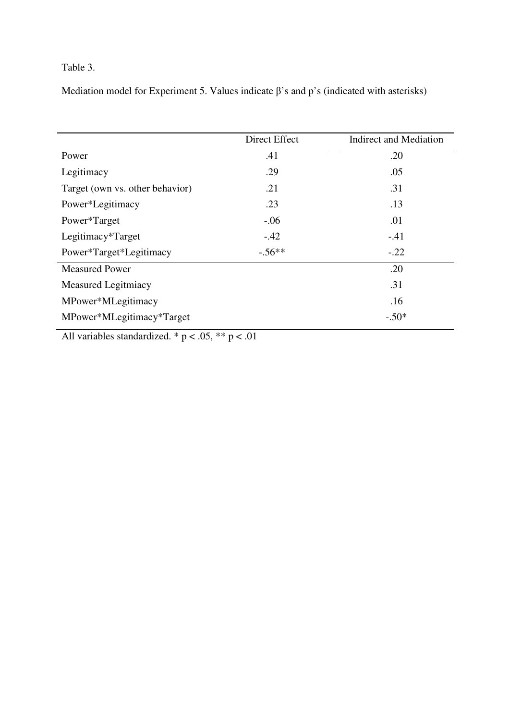# Table 3.

Mediation model for Experiment 5. Values indicate  $\beta$ 's and p's (indicated with asterisks)

|                                 | Direct Effect | <b>Indirect and Mediation</b> |  |
|---------------------------------|---------------|-------------------------------|--|
| Power                           | .41           | .20                           |  |
| Legitimacy                      | .29           | .05                           |  |
| Target (own vs. other behavior) | .21           | .31                           |  |
| Power*Legitimacy                | .23           | .13                           |  |
| Power*Target                    | $-.06$        | .01                           |  |
| Legitimacy*Target               | $-.42$        | $-41$                         |  |
| Power*Target*Legitimacy         | $-.56**$      | $-.22$                        |  |
| <b>Measured Power</b>           |               | .20                           |  |
| <b>Measured Legitmiacy</b>      |               | .31                           |  |
| MPower*MLegitimacy              |               | .16                           |  |
| MPower*MLegitimacy*Target       |               | $-.50*$                       |  |

All variables standardized. \*  $p < .05$ , \*\*  $p < .01$